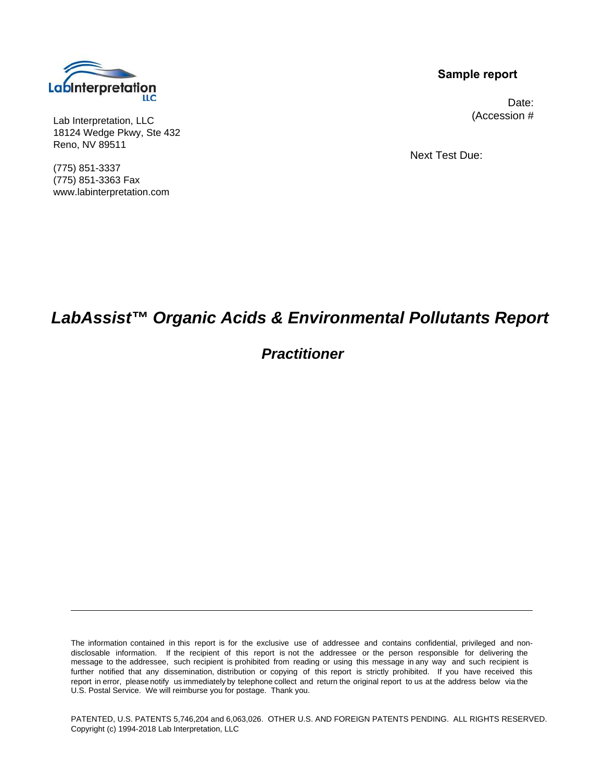

Lab Interpretation, LLC 18124 Wedge Pkwy, Ste 432 Reno, NV 89511

(775) 851-3337 (775) 851-3363 Fax www.labinterpretation.com

### **Sample report**

 Date: (Accession #

Next Test Due:

# **LabAssist™ Organic Acids & Environmental Pollutants Report**

# **Practitioner**

The information contained in this report is for the exclusive use of addressee and contains confidential, privileged and nondisclosable information. If the recipient of this report is not the addressee or the person responsible for delivering the message to the addressee, such recipient is prohibited from reading or using this message in any way and such recipient is further notified that any dissemination, distribution or copying of this report is strictly prohibited. If you have received this report in error, please notify us immediately by telephone collect and return the original report to us at the address below via the U.S. Postal Service. We will reimburse you for postage. Thank you.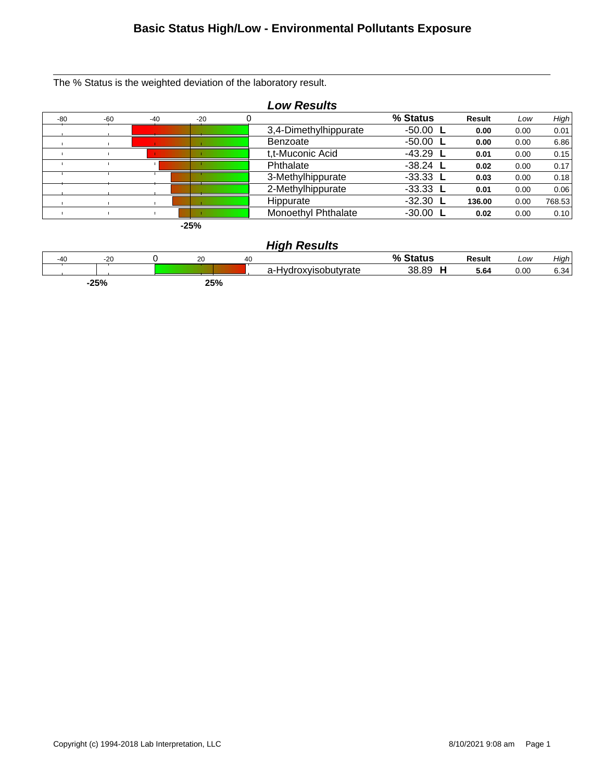### **Basic Status High/Low - Environmental Pollutants Exposure**

The % Status is the weighted deviation of the laboratory result.



|        |       |     |    | .                          |          |        |      |      |
|--------|-------|-----|----|----------------------------|----------|--------|------|------|
| $-40$  | $-20$ | 20  | 40 |                            | % Status | Result | Low  | High |
|        |       |     |    | droxyisobutyrate<br>a-Hvdr | 38.89    | 5.64   | 0.00 | 6.34 |
| $-25%$ |       | 25% |    |                            |          |        |      |      |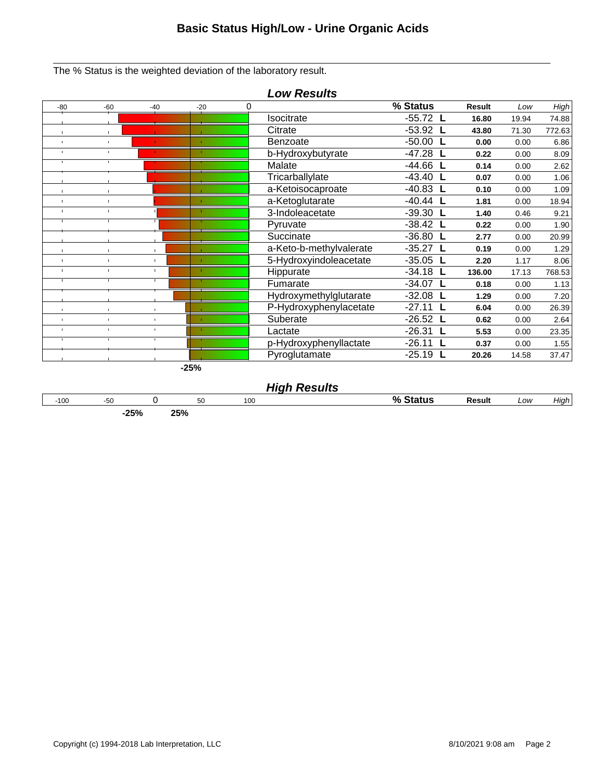The % Status is the weighted deviation of the laboratory result.



### **High Results**

| $-100$ | -50<br>-∪∪    | 50               | 100 | 70 | esuh<br>. | Low | .<br>Hıar |
|--------|---------------|------------------|-----|----|-----------|-----|-----------|
|        | ים ה<br>-2370 | oro/<br>7٥<br>∠J |     |    |           |     |           |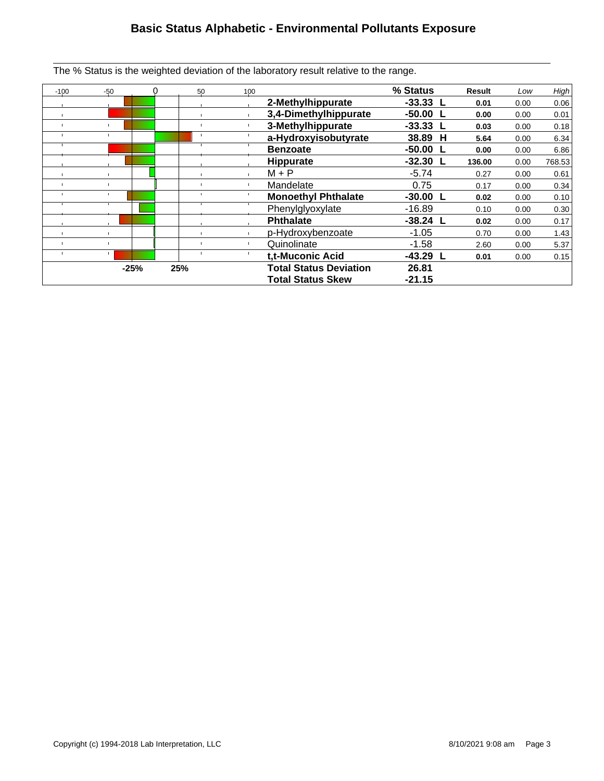# **Basic Status Alphabetic - Environmental Pollutants Exposure**

The % Status is the weighted deviation of the laboratory result relative to the range.

| $-100$         | $-50$  |     | 50 | 100 |                               | % Status         | Result | Low  | High   |
|----------------|--------|-----|----|-----|-------------------------------|------------------|--------|------|--------|
|                |        |     |    |     | 2-Methylhippurate             | $-33.33 L$       | 0.01   | 0.00 | 0.06   |
| $\blacksquare$ |        |     |    |     | 3,4-Dimethylhippurate         | $-50.00$ L       | 0.00   | 0.00 | 0.01   |
|                |        |     |    |     | 3-Methylhippurate             | $-33.33$ L       | 0.03   | 0.00 | 0.18   |
|                |        |     |    |     | a-Hydroxyisobutyrate          | 38.89 H          | 5.64   | 0.00 | 6.34   |
|                |        |     |    |     | <b>Benzoate</b>               | $-50.00$         | 0.00   | 0.00 | 6.86   |
|                |        |     |    |     | <b>Hippurate</b>              | $-32.30$ L       | 136.00 | 0.00 | 768.53 |
|                |        |     |    |     | $M + P$                       | $-5.74$          | 0.27   | 0.00 | 0.61   |
|                |        |     |    |     | Mandelate                     | 0.75             | 0.17   | 0.00 | 0.34   |
|                |        |     |    |     | <b>Monoethyl Phthalate</b>    | $-30.00 L$       | 0.02   | 0.00 | 0.10   |
|                |        |     |    |     | Phenylglyoxylate              | $-16.89$         | 0.10   | 0.00 | 0.30   |
|                |        |     |    |     | <b>Phthalate</b>              | $-38.24$ L       | 0.02   | 0.00 | 0.17   |
|                |        |     |    |     | p-Hydroxybenzoate             | $-1.05$          | 0.70   | 0.00 | 1.43   |
|                |        |     |    |     | Quinolinate                   | $-1.58$          | 2.60   | 0.00 | 5.37   |
|                |        |     |    |     | t.t-Muconic Acid              | $-43.29$<br>- 1. | 0.01   | 0.00 | 0.15   |
|                | $-25%$ | 25% |    |     | <b>Total Status Deviation</b> | 26.81            |        |      |        |
|                |        |     |    |     | <b>Total Status Skew</b>      | $-21.15$         |        |      |        |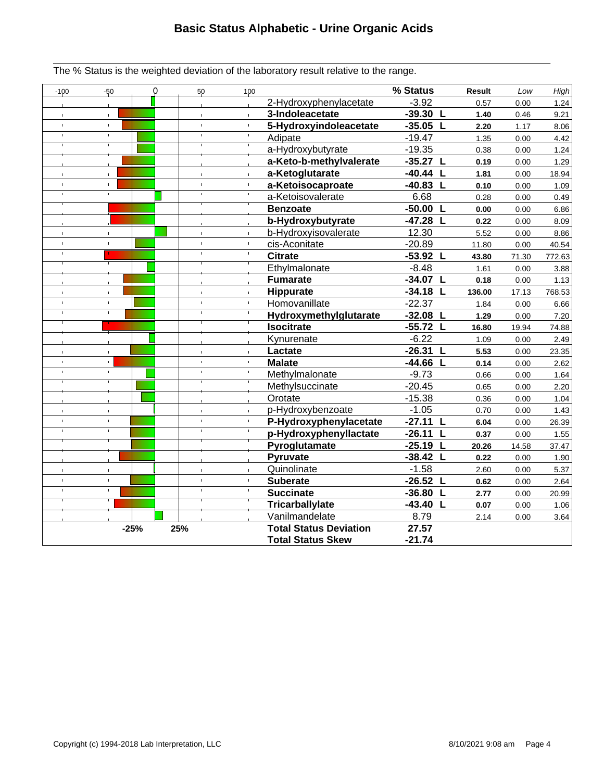The % Status is the weighted deviation of the laboratory result relative to the range.

| $-100$         | $-50$          | $\Omega$ | 50            | 100            |                               | % Status   | <b>Result</b> | Low   | High   |
|----------------|----------------|----------|---------------|----------------|-------------------------------|------------|---------------|-------|--------|
|                |                |          | $\mathbf{r}$  |                | 2-Hydroxyphenylacetate        | $-3.92$    | 0.57          | 0.00  | 1.24   |
|                | $\mathbf{L}$   |          | $\mathbf{r}$  | T.             | 3-Indoleacetate               | $-39.30 L$ | 1.40          | 0.46  | 9.21   |
|                | $\mathbf{r}$   |          | $\mathbf{r}$  |                | 5-Hydroxyindoleacetate        | $-35.05$ L | 2.20          | 1.17  | 8.06   |
| $\mathbf{I}$   | $\mathbf{I}$   |          | $\mathbf{I}$  |                | Adipate                       | $-19.47$   | 1.35          | 0.00  | 4.42   |
|                |                |          |               |                | a-Hydroxybutyrate             | $-19.35$   | 0.38          | 0.00  | 1.24   |
|                |                |          |               |                | a-Keto-b-methylvalerate       | $-35.27 L$ | 0.19          | 0.00  | 1.29   |
|                |                |          |               | î.             | a-Ketoglutarate               | $-40.44 L$ | 1.81          | 0.00  | 18.94  |
|                | $\bar{\Gamma}$ |          | $\mathbf{r}$  | Ť.             | a-Ketoisocaproate             | $-40.83$ L | 0.10          | 0.00  | 1.09   |
|                | $\mathbf{I}$   |          | $\mathbb{L}$  |                | a-Ketoisovalerate             | 6.68       | 0.28          | 0.00  | 0.49   |
|                |                |          |               |                | <b>Benzoate</b>               | $-50.00 L$ | 0.00          | 0.00  | 6.86   |
|                |                |          |               |                | b-Hydroxybutyrate             | $-47.28$ L | 0.22          | 0.00  | 8.09   |
|                | $\mathbf{r}$   |          | $\mathbb{L}$  | $\mathbf{r}$   | b-Hydroxyisovalerate          | 12.30      | 5.52          | 0.00  | 8.86   |
| $\mathbf{I}$   | $\mathbf{I}$   |          | $\mathbf{L}$  |                | cis-Aconitate                 | $-20.89$   | 11.80         | 0.00  | 40.54  |
| $\mathbf{I}$   |                |          | $\mathbf{I}$  |                | <b>Citrate</b>                | $-53.92$ L | 43.80         | 71.30 | 772.63 |
|                |                |          |               |                | Ethylmalonate                 | $-8.48$    | 1.61          | 0.00  | 3.88   |
|                |                |          |               |                | <b>Fumarate</b>               | $-34.07 L$ | 0.18          | 0.00  | 1.13   |
|                |                |          | $\mathbf{r}$  |                | Hippurate                     | $-34.18$ L | 136.00        | 17.13 | 768.53 |
| $\mathbf{I}$   | $\mathbf{L}$   |          | $\mathbf{L}$  | T.             | Homovanillate                 | $-22.37$   | 1.84          | 0.00  | 6.66   |
| $\blacksquare$ | $\mathbf{I}$   |          | $\mathbf{I}$  | $\mathbb{L}$   | Hydroxymethylglutarate        | $-32.08$ L | 1.29          | 0.00  | 7.20   |
|                |                |          |               |                | <b>Isocitrate</b>             | $-55.72$ L | 16.80         | 19.94 | 74.88  |
|                |                |          |               |                | Kynurenate                    | $-6.22$    | 1.09          | 0.00  | 2.49   |
| $\mathbf{I}$   | $\mathbf{L}$   |          | $\mathbf{L}$  | $\bar{\Gamma}$ | Lactate                       | $-26.31 L$ | 5.53          | 0.00  | 23.35  |
| $\mathbf{I}$   | $\mathbf{L}$   |          | $\bar{\rm I}$ | f,             | <b>Malate</b>                 | $-44.66 L$ | 0.14          | 0.00  | 2.62   |
| $\mathbf{L}$   | $\mathbf{I}$   |          | $\mathbf{I}$  | $\mathbf{I}$   | Methylmalonate                | $-9.73$    | 0.66          | 0.00  | 1.64   |
|                |                |          |               |                | Methylsuccinate               | $-20.45$   | 0.65          | 0.00  | 2.20   |
|                |                |          |               |                | Orotate                       | $-15.38$   | 0.36          | 0.00  | 1.04   |
|                |                |          | $\mathbf{r}$  |                | p-Hydroxybenzoate             | $-1.05$    | 0.70          | 0.00  | 1.43   |
| $\mathbf{r}$   | $\mathbf{r}$   |          | $\bar{1}$     | ĭ.             | P-Hydroxyphenylacetate        | $-27.11 L$ | 6.04          | 0.00  | 26.39  |
|                | $\mathbf{I}$   |          | $\mathbf{I}$  |                | p-Hydroxyphenyllactate        | $-26.11 L$ | 0.37          | 0.00  | 1.55   |
|                |                |          |               |                | Pyroglutamate                 | $-25.19$ L | 20.26         | 14.58 | 37.47  |
|                |                |          |               |                | Pyruvate                      | $-38.42 L$ | 0.22          | 0.00  | 1.90   |
| $\mathbf{r}$   | $\bar{\Gamma}$ |          | $\mathbf{L}$  | $\mathbf{r}$   | Quinolinate                   | $-1.58$    | 2.60          | 0.00  | 5.37   |
| $\mathbf{I}$   | $\mathbf{L}$   |          | $\mathbb{L}$  |                | <b>Suberate</b>               | $-26.52 L$ | 0.62          | 0.00  | 2.64   |
|                |                |          | $\mathbf{r}$  |                | <b>Succinate</b>              | $-36.80 L$ | 2.77          | 0.00  | 20.99  |
|                |                |          |               |                | <b>Tricarballylate</b>        | $-43.40 L$ | 0.07          | 0.00  | 1.06   |
|                |                |          |               |                | Vanilmandelate                | 8.79       | 2.14          | 0.00  | 3.64   |
|                | $-25%$         |          | 25%           |                | <b>Total Status Deviation</b> | 27.57      |               |       |        |
|                |                |          |               |                | <b>Total Status Skew</b>      | $-21.74$   |               |       |        |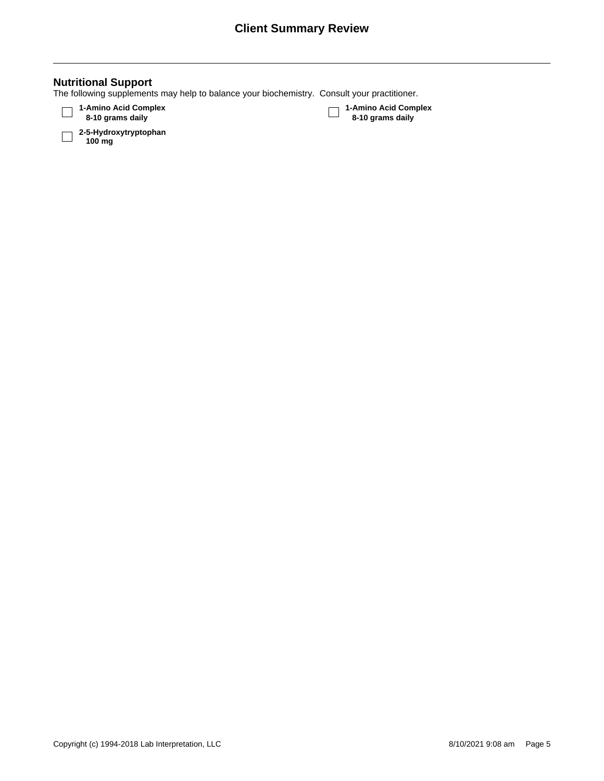| <b>Nutritional Support</b><br>The following supplements may help to balance your biochemistry. Consult your practitioner. |                                          |
|---------------------------------------------------------------------------------------------------------------------------|------------------------------------------|
| 1-Amino Acid Complex<br>8-10 grams daily                                                                                  | 1-Amino Acid Complex<br>8-10 grams daily |
| 2-5-Hydroxytryptophan<br>100 mg                                                                                           |                                          |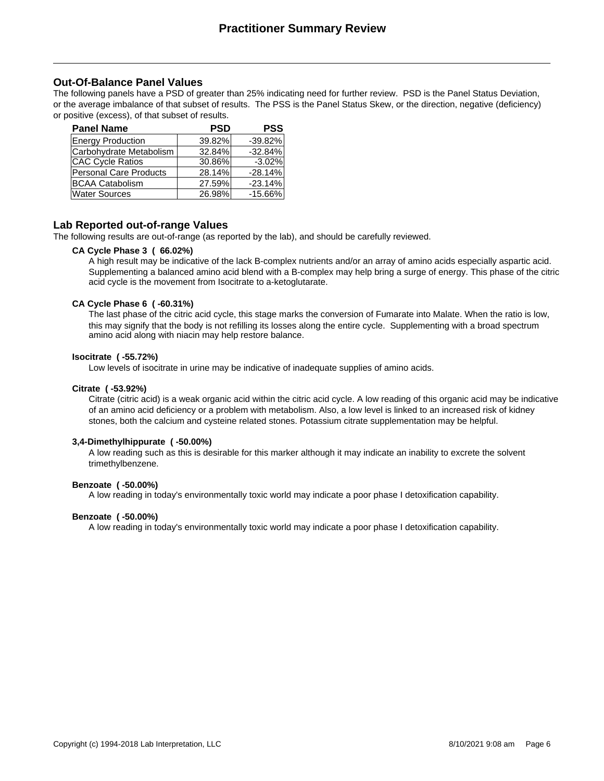### **Out-Of-Balance Panel Values**

The following panels have a PSD of greater than 25% indicating need for further review. PSD is the Panel Status Deviation, or the average imbalance of that subset of results. The PSS is the Panel Status Skew, or the direction, negative (deficiency) or positive (excess), of that subset of results.

| <b>Panel Name</b>             | PSD    | <b>PSS</b> |
|-------------------------------|--------|------------|
| <b>Energy Production</b>      | 39.82% | $-39.82%$  |
| Carbohydrate Metabolism       | 32.84% | $-32.84%$  |
| <b>CAC Cycle Ratios</b>       | 30.86% | $-3.02%$   |
| <b>Personal Care Products</b> | 28.14% | $-28.14%$  |
| <b>BCAA Catabolism</b>        | 27.59% | $-23.14%$  |
| <b>Water Sources</b>          | 26.98% | $-15.66%$  |

### **Lab Reported out-of-range Values**

The following results are out-of-range (as reported by the lab), and should be carefully reviewed.

#### **CA Cycle Phase 3 ( 66.02%)**

A high result may be indicative of the lack B-complex nutrients and/or an array of amino acids especially aspartic acid. Supplementing a balanced amino acid blend with a B-complex may help bring a surge of energy. This phase of the citric acid cycle is the movement from Isocitrate to a-ketoglutarate.

#### **CA Cycle Phase 6 ( -60.31%)**

The last phase of the citric acid cycle, this stage marks the conversion of Fumarate into Malate. When the ratio is low, this may signify that the body is not refilling its losses along the entire cycle. Supplementing with a broad spectrum amino acid along with niacin may help restore balance.

#### **Isocitrate ( -55.72%)**

Low levels of isocitrate in urine may be indicative of inadequate supplies of amino acids.

#### **Citrate ( -53.92%)**

Citrate (citric acid) is a weak organic acid within the citric acid cycle. A low reading of this organic acid may be indicative of an amino acid deficiency or a problem with metabolism. Also, a low level is linked to an increased risk of kidney stones, both the calcium and cysteine related stones. Potassium citrate supplementation may be helpful.

#### **3,4-Dimethylhippurate ( -50.00%)**

A low reading such as this is desirable for this marker although it may indicate an inability to excrete the solvent trimethylbenzene.

#### **Benzoate ( -50.00%)**

A low reading in today's environmentally toxic world may indicate a poor phase I detoxification capability.

#### **Benzoate ( -50.00%)**

A low reading in today's environmentally toxic world may indicate a poor phase I detoxification capability.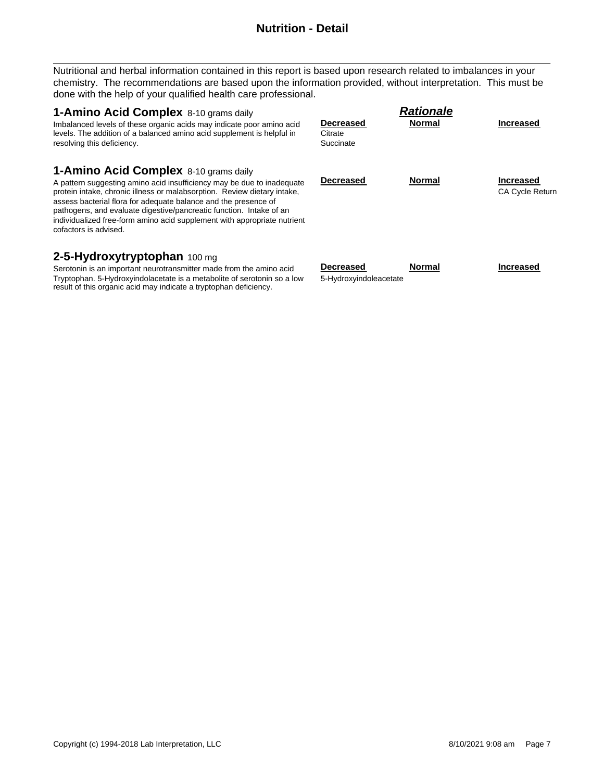# **Nutrition - Detail**

Nutritional and herbal information contained in this report is based upon research related to imbalances in your chemistry. The recommendations are based upon the information provided, without interpretation. This must be done with the help of your qualified health care professional.

| <b>1-Amino Acid Complex</b> 8-10 grams daily<br>Imbalanced levels of these organic acids may indicate poor amino acid<br>levels. The addition of a balanced amino acid supplement is helpful in<br>resolving this deficiency.                                                                                                                                                                                                              | Decreased<br>Citrate<br>Succinate          | <b>Rationale</b><br><b>Normal</b> | <b>Increased</b>                    |
|--------------------------------------------------------------------------------------------------------------------------------------------------------------------------------------------------------------------------------------------------------------------------------------------------------------------------------------------------------------------------------------------------------------------------------------------|--------------------------------------------|-----------------------------------|-------------------------------------|
| 1-Amino Acid Complex 8-10 grams daily<br>A pattern suggesting amino acid insufficiency may be due to inadequate<br>protein intake, chronic illness or malabsorption. Review dietary intake,<br>assess bacterial flora for adequate balance and the presence of<br>pathogens, and evaluate digestive/pancreatic function. Intake of an<br>individualized free-form amino acid supplement with appropriate nutrient<br>cofactors is advised. | Decreased                                  | <b>Normal</b>                     | Increased<br><b>CA Cycle Return</b> |
| 2-5-Hydroxytryptophan 100 mg<br>Serotonin is an important neurotransmitter made from the amino acid<br>Tryptophan. 5-Hydroxyindolacetate is a metabolite of serotonin so a low                                                                                                                                                                                                                                                             | <b>Decreased</b><br>5-Hydroxyindoleacetate | <b>Normal</b>                     | <b>Increased</b>                    |

result of this organic acid may indicate a tryptophan deficiency.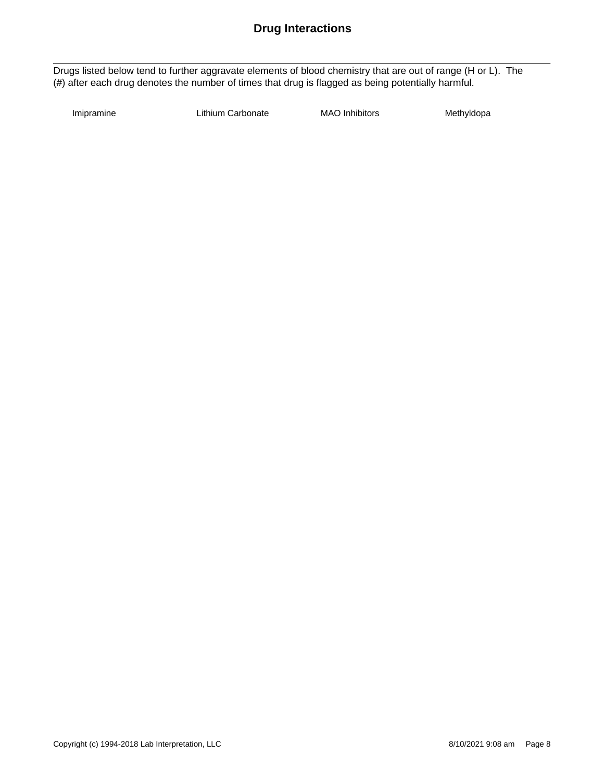### **Drug Interactions**

Drugs listed below tend to further aggravate elements of blood chemistry that are out of range (H or L). The (#) after each drug denotes the number of times that drug is flagged as being potentially harmful.

Imipramine **Lithium Carbonate** MAO Inhibitors Methyldopa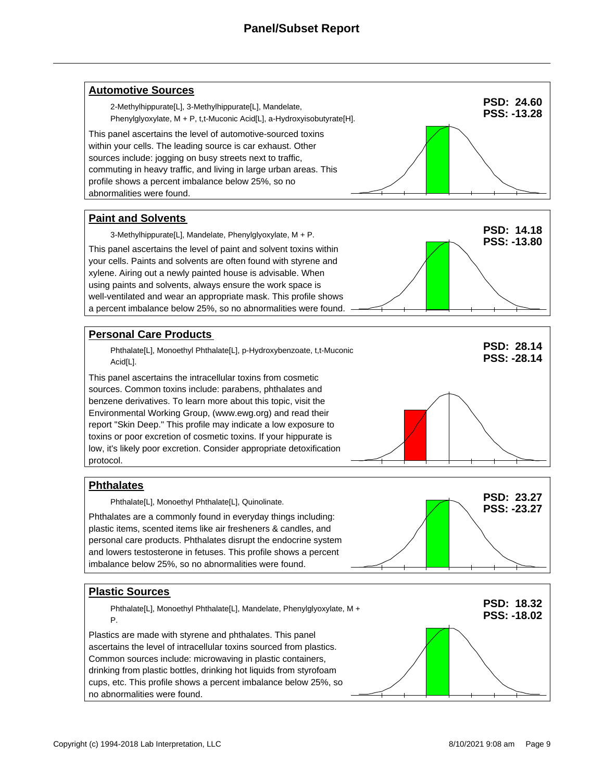# **Panel/Subset Report**

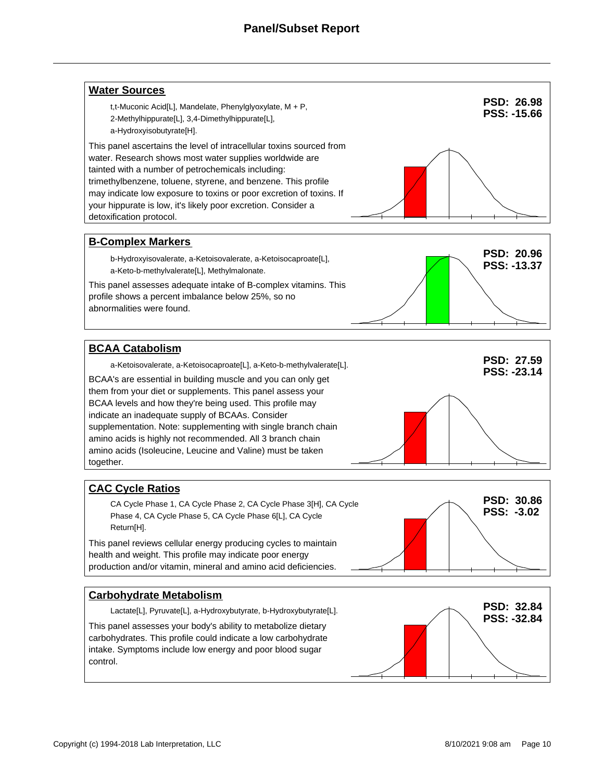### **Panel/Subset Report**

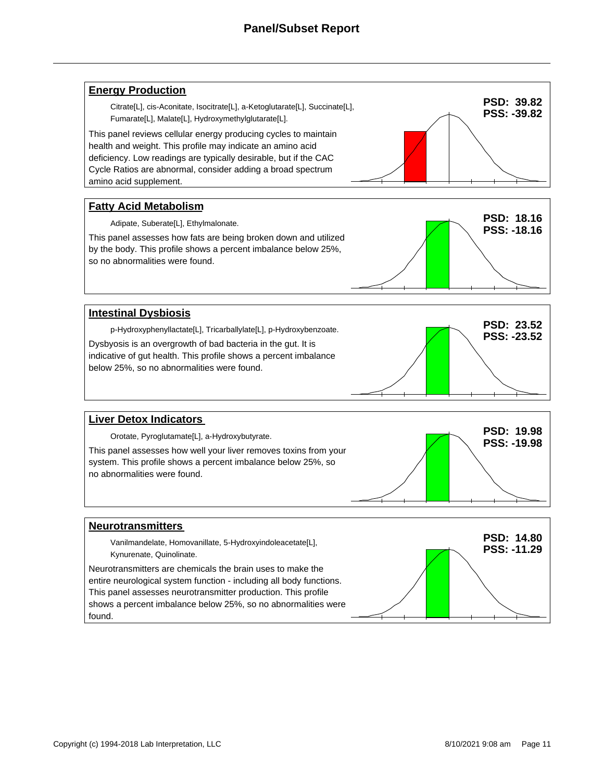### **Panel/Subset Report**